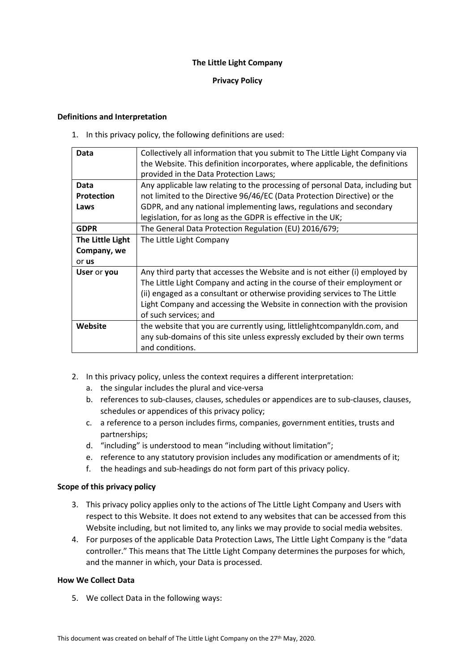# **The Little Light Company**

# **Privacy Policy**

## **Definitions and Interpretation**

1. In this privacy policy, the following definitions are used:

| Data              | Collectively all information that you submit to The Little Light Company via  |
|-------------------|-------------------------------------------------------------------------------|
|                   | the Website. This definition incorporates, where applicable, the definitions  |
|                   | provided in the Data Protection Laws;                                         |
| Data              | Any applicable law relating to the processing of personal Data, including but |
| <b>Protection</b> | not limited to the Directive 96/46/EC (Data Protection Directive) or the      |
| Laws              | GDPR, and any national implementing laws, regulations and secondary           |
|                   | legislation, for as long as the GDPR is effective in the UK;                  |
| <b>GDPR</b>       | The General Data Protection Regulation (EU) 2016/679;                         |
| The Little Light  | The Little Light Company                                                      |
| Company, we       |                                                                               |
| or us             |                                                                               |
| User or you       | Any third party that accesses the Website and is not either (i) employed by   |
|                   | The Little Light Company and acting in the course of their employment or      |
|                   | (ii) engaged as a consultant or otherwise providing services to The Little    |
|                   | Light Company and accessing the Website in connection with the provision      |
|                   | of such services; and                                                         |
| Website           | the website that you are currently using, littlelightcompanyldn.com, and      |
|                   | any sub-domains of this site unless expressly excluded by their own terms     |
|                   | and conditions.                                                               |

- 2. In this privacy policy, unless the context requires a different interpretation:
	- a. the singular includes the plural and vice-versa
	- b. references to sub-clauses, clauses, schedules or appendices are to sub-clauses, clauses, schedules or appendices of this privacy policy;
	- c. a reference to a person includes firms, companies, government entities, trusts and partnerships;
	- d. "including" is understood to mean "including without limitation";
	- e. reference to any statutory provision includes any modification or amendments of it;
	- f. the headings and sub-headings do not form part of this privacy policy.

## **Scope of this privacy policy**

- 3. This privacy policy applies only to the actions of The Little Light Company and Users with respect to this Website. It does not extend to any websites that can be accessed from this Website including, but not limited to, any links we may provide to social media websites.
- 4. For purposes of the applicable Data Protection Laws, The Little Light Company is the "data controller." This means that The Little Light Company determines the purposes for which, and the manner in which, your Data is processed.

# **How We Collect Data**

5. We collect Data in the following ways: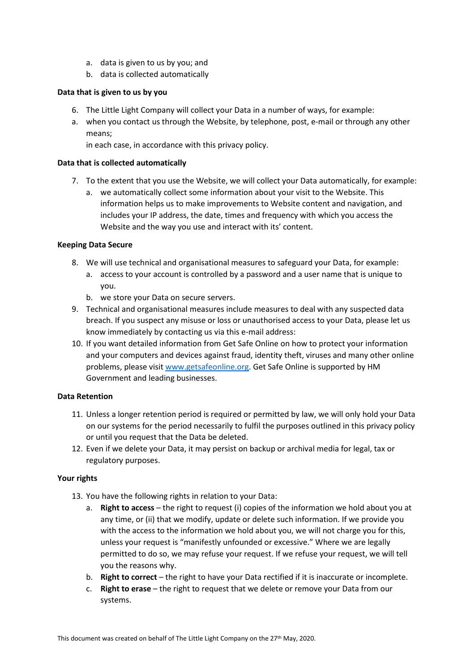- a. data is given to us by you; and
- b. data is collected automatically

# **Data that is given to us by you**

- 6. The Little Light Company will collect your Data in a number of ways, for example:
- a. when you contact us through the Website, by telephone, post, e-mail or through any other means;

in each case, in accordance with this privacy policy.

# **Data that is collected automatically**

- 7. To the extent that you use the Website, we will collect your Data automatically, for example:
	- a. we automatically collect some information about your visit to the Website. This information helps us to make improvements to Website content and navigation, and includes your IP address, the date, times and frequency with which you access the Website and the way you use and interact with its' content.

# **Keeping Data Secure**

- 8. We will use technical and organisational measures to safeguard your Data, for example:
	- a. access to your account is controlled by a password and a user name that is unique to you.
	- b. we store your Data on secure servers.
- 9. Technical and organisational measures include measures to deal with any suspected data breach. If you suspect any misuse or loss or unauthorised access to your Data, please let us know immediately by contacting us via this e-mail address:
- 10. If you want detailed information from Get Safe Online on how to protect your information and your computers and devices against fraud, identity theft, viruses and many other online problems, please visit [www.getsafeonline.org.](http://www.getsafeonline.org/) Get Safe Online is supported by HM Government and leading businesses.

# **Data Retention**

- 11. Unless a longer retention period is required or permitted by law, we will only hold your Data on our systems for the period necessarily to fulfil the purposes outlined in this privacy policy or until you request that the Data be deleted.
- 12. Even if we delete your Data, it may persist on backup or archival media for legal, tax or regulatory purposes.

## **Your rights**

- 13. You have the following rights in relation to your Data:
	- a. **Right to access** the right to request (i) copies of the information we hold about you at any time, or (ii) that we modify, update or delete such information. If we provide you with the access to the information we hold about you, we will not charge you for this, unless your request is "manifestly unfounded or excessive." Where we are legally permitted to do so, we may refuse your request. If we refuse your request, we will tell you the reasons why.
	- b. **Right to correct** the right to have your Data rectified if it is inaccurate or incomplete.
	- c. **Right to erase** the right to request that we delete or remove your Data from our systems.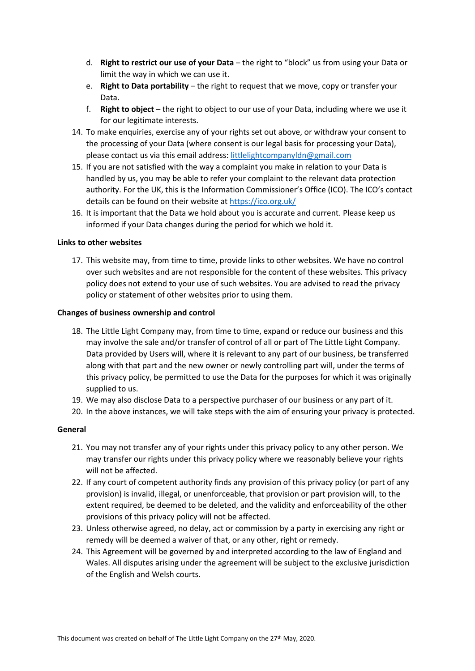- d. **Right to restrict our use of your Data** the right to "block" us from using your Data or limit the way in which we can use it.
- e. **Right to Data portability** the right to request that we move, copy or transfer your Data.
- f. **Right to object** the right to object to our use of your Data, including where we use it for our legitimate interests.
- 14. To make enquiries, exercise any of your rights set out above, or withdraw your consent to the processing of your Data (where consent is our legal basis for processing your Data), please contact us via this email address: [littlelightcompanyldn@gmail.com](mailto:littlelightcompanyldn@gmail.com)
- 15. If you are not satisfied with the way a complaint you make in relation to your Data is handled by us, you may be able to refer your complaint to the relevant data protection authority. For the UK, this is the Information Commissioner's Office (ICO). The ICO's contact details can be found on their website at<https://ico.org.uk/>
- 16. It is important that the Data we hold about you is accurate and current. Please keep us informed if your Data changes during the period for which we hold it.

### **Links to other websites**

17. This website may, from time to time, provide links to other websites. We have no control over such websites and are not responsible for the content of these websites. This privacy policy does not extend to your use of such websites. You are advised to read the privacy policy or statement of other websites prior to using them.

### **Changes of business ownership and control**

- 18. The Little Light Company may, from time to time, expand or reduce our business and this may involve the sale and/or transfer of control of all or part of The Little Light Company. Data provided by Users will, where it is relevant to any part of our business, be transferred along with that part and the new owner or newly controlling part will, under the terms of this privacy policy, be permitted to use the Data for the purposes for which it was originally supplied to us.
- 19. We may also disclose Data to a perspective purchaser of our business or any part of it.
- 20. In the above instances, we will take steps with the aim of ensuring your privacy is protected.

## **General**

- 21. You may not transfer any of your rights under this privacy policy to any other person. We may transfer our rights under this privacy policy where we reasonably believe your rights will not be affected.
- 22. If any court of competent authority finds any provision of this privacy policy (or part of any provision) is invalid, illegal, or unenforceable, that provision or part provision will, to the extent required, be deemed to be deleted, and the validity and enforceability of the other provisions of this privacy policy will not be affected.
- 23. Unless otherwise agreed, no delay, act or commission by a party in exercising any right or remedy will be deemed a waiver of that, or any other, right or remedy.
- 24. This Agreement will be governed by and interpreted according to the law of England and Wales. All disputes arising under the agreement will be subject to the exclusive jurisdiction of the English and Welsh courts.